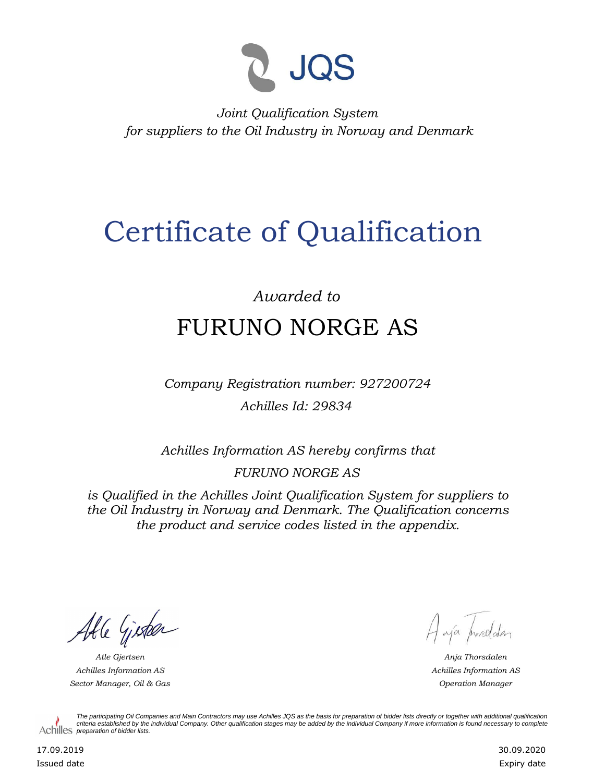

*Joint Qualification System for suppliers to the Oil Industry in Norway and Denmark*

## Certificate of Qualification

## *Awarded to* FURUNO NORGE AS

*Company Registration number: 927200724 Achilles Id: 29834*

*Achilles Information AS hereby confirms that*

*FURUNO NORGE AS*

*is Qualified in the Achilles Joint Qualification System for suppliers to the Oil Industry in Norway and Denmark. The Qualification concerns the product and service codes listed in the appendix.*

Able Gister

*Achilles Information AS Sector Manager, Oil & Gas Operation Manager*

Haya procedater

*Atle Gjertsen Anja Thorsdalen Achilles Information AS*

*The participating Oil Companies and Main Contractors may use Achilles JQS as the basis for preparation of bidder lists directly or together with additional qualification criteria established by the individual Company. Other qualification stages may be added by the individual Company if more information is found necessary to complete*  Achilles *preparation of bidder lists*.

17.09.2019 Issued date 30.09.2020 Expiry date